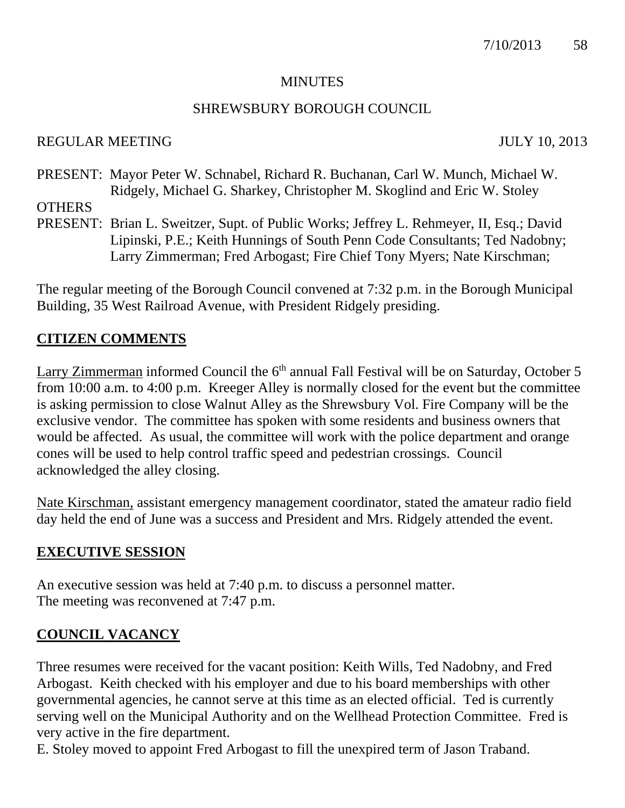#### **MINUTES**

### SHREWSBURY BOROUGH COUNCIL

### REGULAR MEETING JULY 10, 2013

PRESENT: Mayor Peter W. Schnabel, Richard R. Buchanan, Carl W. Munch, Michael W. Ridgely, Michael G. Sharkey, Christopher M. Skoglind and Eric W. Stoley **OTHERS** 

PRESENT: Brian L. Sweitzer, Supt. of Public Works; Jeffrey L. Rehmeyer, II, Esq.; David Lipinski, P.E.; Keith Hunnings of South Penn Code Consultants; Ted Nadobny; Larry Zimmerman; Fred Arbogast; Fire Chief Tony Myers; Nate Kirschman;

The regular meeting of the Borough Council convened at 7:32 p.m. in the Borough Municipal Building, 35 West Railroad Avenue, with President Ridgely presiding.

# **CITIZEN COMMENTS**

Larry Zimmerman informed Council the 6<sup>th</sup> annual Fall Festival will be on Saturday, October 5 from 10:00 a.m. to 4:00 p.m. Kreeger Alley is normally closed for the event but the committee is asking permission to close Walnut Alley as the Shrewsbury Vol. Fire Company will be the exclusive vendor. The committee has spoken with some residents and business owners that would be affected. As usual, the committee will work with the police department and orange cones will be used to help control traffic speed and pedestrian crossings. Council acknowledged the alley closing.

Nate Kirschman, assistant emergency management coordinator, stated the amateur radio field day held the end of June was a success and President and Mrs. Ridgely attended the event.

### **EXECUTIVE SESSION**

An executive session was held at 7:40 p.m. to discuss a personnel matter. The meeting was reconvened at 7:47 p.m.

### **COUNCIL VACANCY**

Three resumes were received for the vacant position: Keith Wills, Ted Nadobny, and Fred Arbogast. Keith checked with his employer and due to his board memberships with other governmental agencies, he cannot serve at this time as an elected official. Ted is currently serving well on the Municipal Authority and on the Wellhead Protection Committee. Fred is very active in the fire department.

E. Stoley moved to appoint Fred Arbogast to fill the unexpired term of Jason Traband.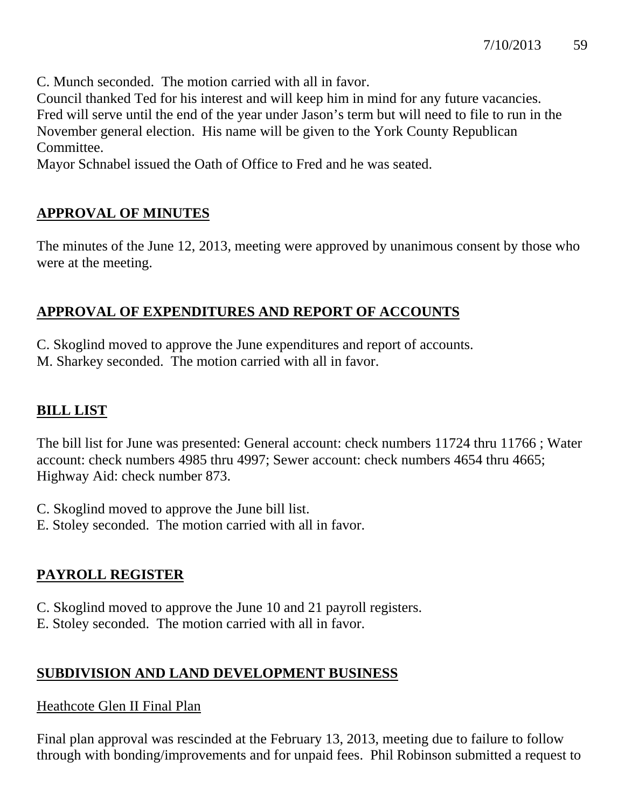C. Munch seconded. The motion carried with all in favor.

Council thanked Ted for his interest and will keep him in mind for any future vacancies. Fred will serve until the end of the year under Jason's term but will need to file to run in the November general election. His name will be given to the York County Republican Committee.

Mayor Schnabel issued the Oath of Office to Fred and he was seated.

# **APPROVAL OF MINUTES**

The minutes of the June 12, 2013, meeting were approved by unanimous consent by those who were at the meeting.

### **APPROVAL OF EXPENDITURES AND REPORT OF ACCOUNTS**

C. Skoglind moved to approve the June expenditures and report of accounts. M. Sharkey seconded. The motion carried with all in favor.

# **BILL LIST**

The bill list for June was presented: General account: check numbers 11724 thru 11766 ; Water account: check numbers 4985 thru 4997; Sewer account: check numbers 4654 thru 4665; Highway Aid: check number 873.

- C. Skoglind moved to approve the June bill list.
- E. Stoley seconded. The motion carried with all in favor.

# **PAYROLL REGISTER**

- C. Skoglind moved to approve the June 10 and 21 payroll registers.
- E. Stoley seconded. The motion carried with all in favor.

# **SUBDIVISION AND LAND DEVELOPMENT BUSINESS**

### Heathcote Glen II Final Plan

Final plan approval was rescinded at the February 13, 2013, meeting due to failure to follow through with bonding/improvements and for unpaid fees. Phil Robinson submitted a request to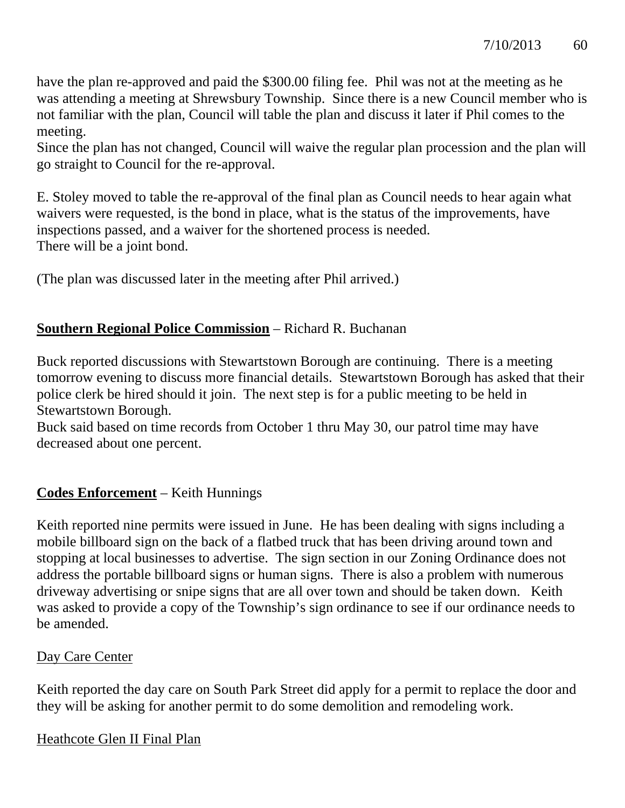have the plan re-approved and paid the \$300.00 filing fee. Phil was not at the meeting as he was attending a meeting at Shrewsbury Township. Since there is a new Council member who is not familiar with the plan, Council will table the plan and discuss it later if Phil comes to the meeting.

Since the plan has not changed, Council will waive the regular plan procession and the plan will go straight to Council for the re-approval.

E. Stoley moved to table the re-approval of the final plan as Council needs to hear again what waivers were requested, is the bond in place, what is the status of the improvements, have inspections passed, and a waiver for the shortened process is needed. There will be a joint bond.

(The plan was discussed later in the meeting after Phil arrived.)

### **Southern Regional Police Commission** – Richard R. Buchanan

Buck reported discussions with Stewartstown Borough are continuing. There is a meeting tomorrow evening to discuss more financial details. Stewartstown Borough has asked that their police clerk be hired should it join. The next step is for a public meeting to be held in Stewartstown Borough.

Buck said based on time records from October 1 thru May 30, our patrol time may have decreased about one percent.

# **Codes Enforcement** – Keith Hunnings

Keith reported nine permits were issued in June. He has been dealing with signs including a mobile billboard sign on the back of a flatbed truck that has been driving around town and stopping at local businesses to advertise. The sign section in our Zoning Ordinance does not address the portable billboard signs or human signs. There is also a problem with numerous driveway advertising or snipe signs that are all over town and should be taken down. Keith was asked to provide a copy of the Township's sign ordinance to see if our ordinance needs to be amended.

### Day Care Center

Keith reported the day care on South Park Street did apply for a permit to replace the door and they will be asking for another permit to do some demolition and remodeling work.

### Heathcote Glen II Final Plan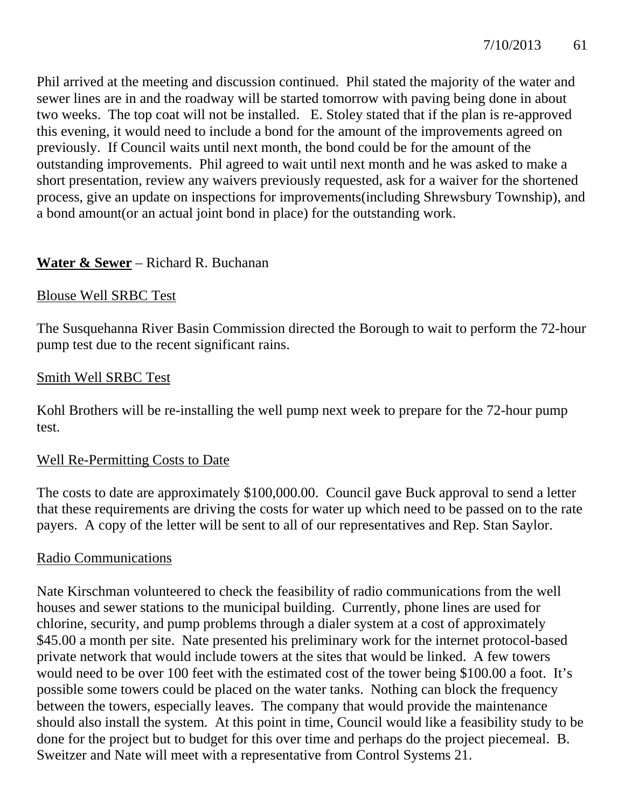Phil arrived at the meeting and discussion continued. Phil stated the majority of the water and sewer lines are in and the roadway will be started tomorrow with paving being done in about two weeks. The top coat will not be installed. E. Stoley stated that if the plan is re-approved this evening, it would need to include a bond for the amount of the improvements agreed on previously. If Council waits until next month, the bond could be for the amount of the outstanding improvements. Phil agreed to wait until next month and he was asked to make a short presentation, review any waivers previously requested, ask for a waiver for the shortened process, give an update on inspections for improvements(including Shrewsbury Township), and a bond amount(or an actual joint bond in place) for the outstanding work.

### **Water & Sewer** – Richard R. Buchanan

### Blouse Well SRBC Test

The Susquehanna River Basin Commission directed the Borough to wait to perform the 72-hour pump test due to the recent significant rains.

### Smith Well SRBC Test

Kohl Brothers will be re-installing the well pump next week to prepare for the 72-hour pump test.

### Well Re-Permitting Costs to Date

The costs to date are approximately \$100,000.00. Council gave Buck approval to send a letter that these requirements are driving the costs for water up which need to be passed on to the rate payers. A copy of the letter will be sent to all of our representatives and Rep. Stan Saylor.

### Radio Communications

Nate Kirschman volunteered to check the feasibility of radio communications from the well houses and sewer stations to the municipal building. Currently, phone lines are used for chlorine, security, and pump problems through a dialer system at a cost of approximately \$45.00 a month per site. Nate presented his preliminary work for the internet protocol-based private network that would include towers at the sites that would be linked. A few towers would need to be over 100 feet with the estimated cost of the tower being \$100.00 a foot. It's possible some towers could be placed on the water tanks. Nothing can block the frequency between the towers, especially leaves. The company that would provide the maintenance should also install the system. At this point in time, Council would like a feasibility study to be done for the project but to budget for this over time and perhaps do the project piecemeal. B. Sweitzer and Nate will meet with a representative from Control Systems 21.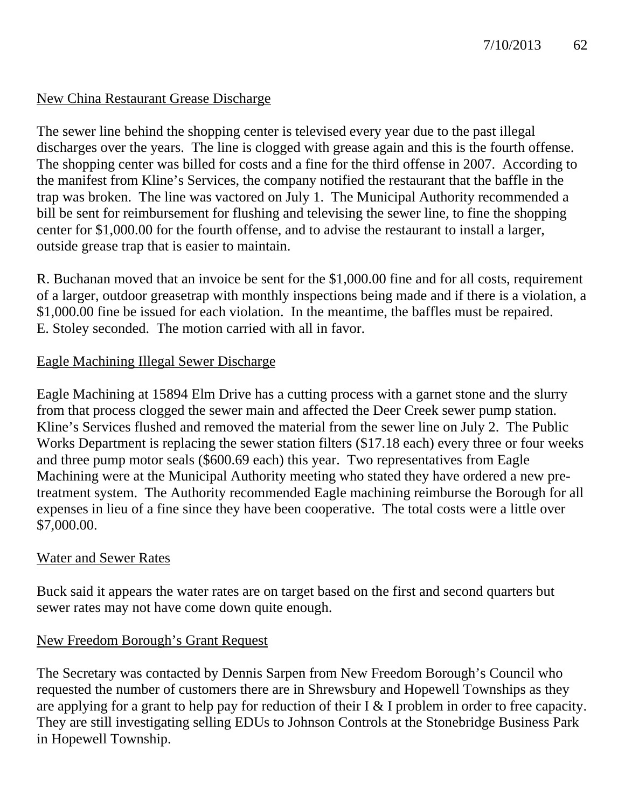### New China Restaurant Grease Discharge

The sewer line behind the shopping center is televised every year due to the past illegal discharges over the years. The line is clogged with grease again and this is the fourth offense. The shopping center was billed for costs and a fine for the third offense in 2007. According to the manifest from Kline's Services, the company notified the restaurant that the baffle in the trap was broken. The line was vactored on July 1. The Municipal Authority recommended a bill be sent for reimbursement for flushing and televising the sewer line, to fine the shopping center for \$1,000.00 for the fourth offense, and to advise the restaurant to install a larger, outside grease trap that is easier to maintain.

R. Buchanan moved that an invoice be sent for the \$1,000.00 fine and for all costs, requirement of a larger, outdoor greasetrap with monthly inspections being made and if there is a violation, a \$1,000.00 fine be issued for each violation. In the meantime, the baffles must be repaired. E. Stoley seconded. The motion carried with all in favor.

### Eagle Machining Illegal Sewer Discharge

Eagle Machining at 15894 Elm Drive has a cutting process with a garnet stone and the slurry from that process clogged the sewer main and affected the Deer Creek sewer pump station. Kline's Services flushed and removed the material from the sewer line on July 2. The Public Works Department is replacing the sewer station filters (\$17.18 each) every three or four weeks and three pump motor seals (\$600.69 each) this year. Two representatives from Eagle Machining were at the Municipal Authority meeting who stated they have ordered a new pretreatment system. The Authority recommended Eagle machining reimburse the Borough for all expenses in lieu of a fine since they have been cooperative. The total costs were a little over \$7,000.00.

### Water and Sewer Rates

Buck said it appears the water rates are on target based on the first and second quarters but sewer rates may not have come down quite enough.

### New Freedom Borough's Grant Request

The Secretary was contacted by Dennis Sarpen from New Freedom Borough's Council who requested the number of customers there are in Shrewsbury and Hopewell Townships as they are applying for a grant to help pay for reduction of their I & I problem in order to free capacity. They are still investigating selling EDUs to Johnson Controls at the Stonebridge Business Park in Hopewell Township.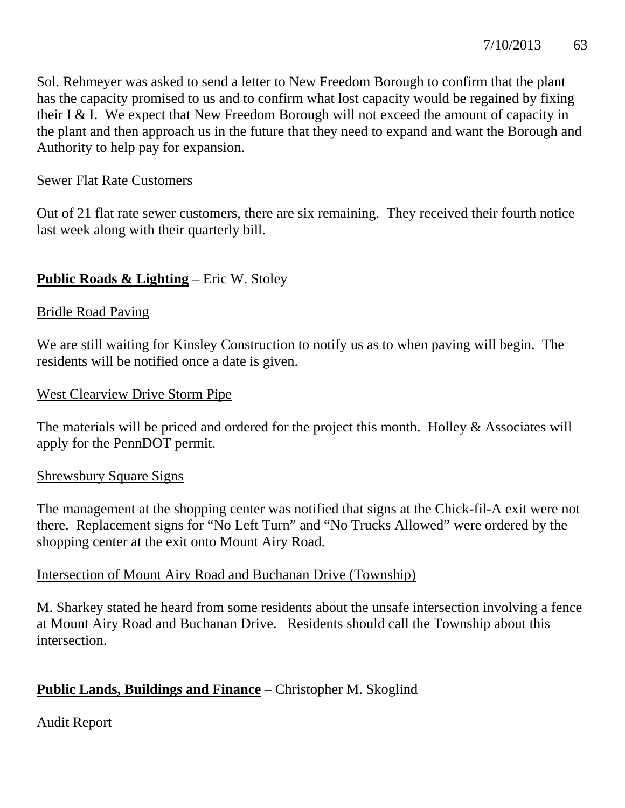Sol. Rehmeyer was asked to send a letter to New Freedom Borough to confirm that the plant has the capacity promised to us and to confirm what lost capacity would be regained by fixing their I & I. We expect that New Freedom Borough will not exceed the amount of capacity in the plant and then approach us in the future that they need to expand and want the Borough and Authority to help pay for expansion.

### Sewer Flat Rate Customers

Out of 21 flat rate sewer customers, there are six remaining. They received their fourth notice last week along with their quarterly bill.

### **Public Roads & Lighting** – Eric W. Stoley

### Bridle Road Paving

We are still waiting for Kinsley Construction to notify us as to when paving will begin. The residents will be notified once a date is given.

### West Clearview Drive Storm Pipe

The materials will be priced and ordered for the project this month. Holley & Associates will apply for the PennDOT permit.

### Shrewsbury Square Signs

The management at the shopping center was notified that signs at the Chick-fil-A exit were not there. Replacement signs for "No Left Turn" and "No Trucks Allowed" were ordered by the shopping center at the exit onto Mount Airy Road.

### Intersection of Mount Airy Road and Buchanan Drive (Township)

M. Sharkey stated he heard from some residents about the unsafe intersection involving a fence at Mount Airy Road and Buchanan Drive. Residents should call the Township about this intersection.

# **Public Lands, Buildings and Finance** – Christopher M. Skoglind

### Audit Report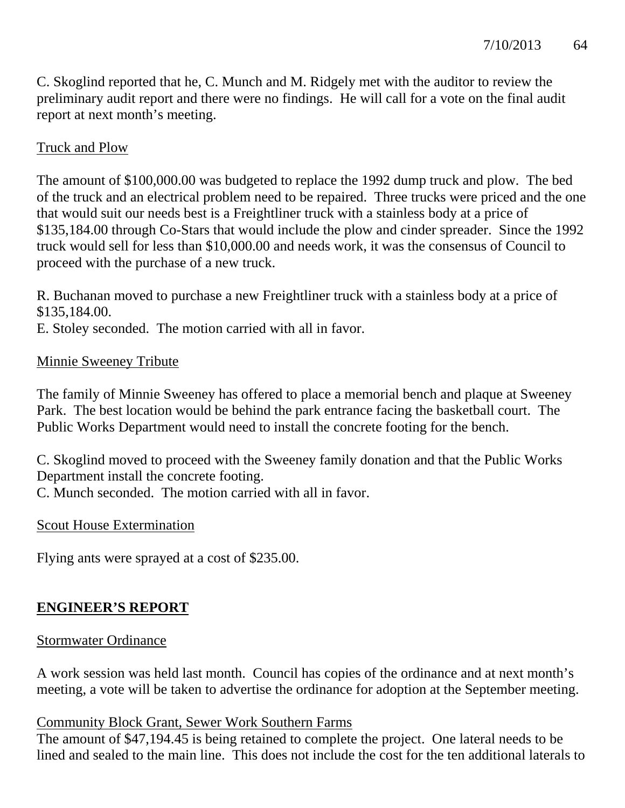C. Skoglind reported that he, C. Munch and M. Ridgely met with the auditor to review the preliminary audit report and there were no findings. He will call for a vote on the final audit report at next month's meeting.

# Truck and Plow

The amount of \$100,000.00 was budgeted to replace the 1992 dump truck and plow. The bed of the truck and an electrical problem need to be repaired. Three trucks were priced and the one that would suit our needs best is a Freightliner truck with a stainless body at a price of \$135,184.00 through Co-Stars that would include the plow and cinder spreader. Since the 1992 truck would sell for less than \$10,000.00 and needs work, it was the consensus of Council to proceed with the purchase of a new truck.

R. Buchanan moved to purchase a new Freightliner truck with a stainless body at a price of \$135,184.00.

E. Stoley seconded. The motion carried with all in favor.

### Minnie Sweeney Tribute

The family of Minnie Sweeney has offered to place a memorial bench and plaque at Sweeney Park. The best location would be behind the park entrance facing the basketball court. The Public Works Department would need to install the concrete footing for the bench.

C. Skoglind moved to proceed with the Sweeney family donation and that the Public Works Department install the concrete footing.

C. Munch seconded. The motion carried with all in favor.

### Scout House Extermination

Flying ants were sprayed at a cost of \$235.00.

# **ENGINEER'S REPORT**

### Stormwater Ordinance

A work session was held last month. Council has copies of the ordinance and at next month's meeting, a vote will be taken to advertise the ordinance for adoption at the September meeting.

### Community Block Grant, Sewer Work Southern Farms

The amount of \$47,194.45 is being retained to complete the project. One lateral needs to be lined and sealed to the main line. This does not include the cost for the ten additional laterals to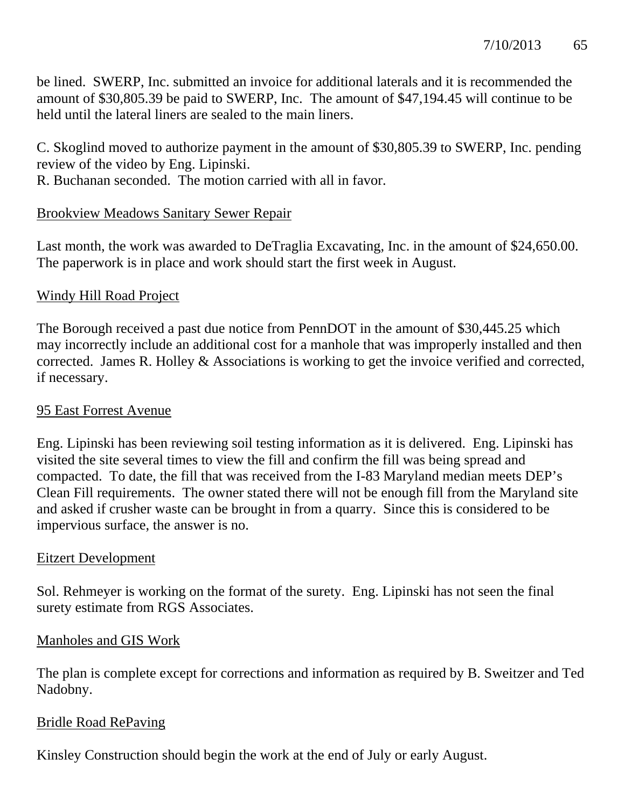be lined. SWERP, Inc. submitted an invoice for additional laterals and it is recommended the amount of \$30,805.39 be paid to SWERP, Inc. The amount of \$47,194.45 will continue to be held until the lateral liners are sealed to the main liners.

C. Skoglind moved to authorize payment in the amount of \$30,805.39 to SWERP, Inc. pending review of the video by Eng. Lipinski.

R. Buchanan seconded. The motion carried with all in favor.

### Brookview Meadows Sanitary Sewer Repair

Last month, the work was awarded to DeTraglia Excavating, Inc. in the amount of \$24,650.00. The paperwork is in place and work should start the first week in August.

### Windy Hill Road Project

The Borough received a past due notice from PennDOT in the amount of \$30,445.25 which may incorrectly include an additional cost for a manhole that was improperly installed and then corrected. James R. Holley & Associations is working to get the invoice verified and corrected, if necessary.

### 95 East Forrest Avenue

Eng. Lipinski has been reviewing soil testing information as it is delivered. Eng. Lipinski has visited the site several times to view the fill and confirm the fill was being spread and compacted. To date, the fill that was received from the I-83 Maryland median meets DEP's Clean Fill requirements. The owner stated there will not be enough fill from the Maryland site and asked if crusher waste can be brought in from a quarry. Since this is considered to be impervious surface, the answer is no.

### Eitzert Development

Sol. Rehmeyer is working on the format of the surety. Eng. Lipinski has not seen the final surety estimate from RGS Associates.

### Manholes and GIS Work

The plan is complete except for corrections and information as required by B. Sweitzer and Ted Nadobny.

### Bridle Road RePaving

Kinsley Construction should begin the work at the end of July or early August.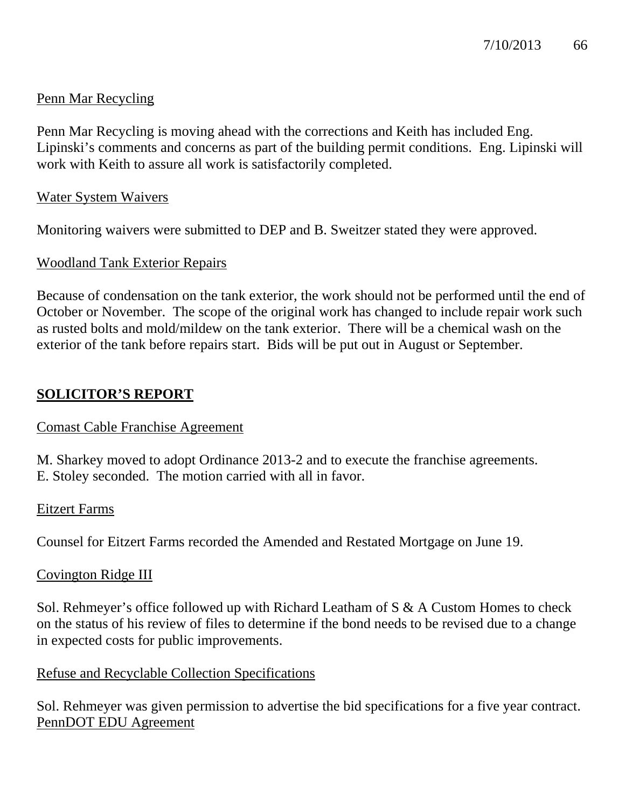### Penn Mar Recycling

Penn Mar Recycling is moving ahead with the corrections and Keith has included Eng. Lipinski's comments and concerns as part of the building permit conditions. Eng. Lipinski will work with Keith to assure all work is satisfactorily completed.

### Water System Waivers

Monitoring waivers were submitted to DEP and B. Sweitzer stated they were approved.

### Woodland Tank Exterior Repairs

Because of condensation on the tank exterior, the work should not be performed until the end of October or November. The scope of the original work has changed to include repair work such as rusted bolts and mold/mildew on the tank exterior. There will be a chemical wash on the exterior of the tank before repairs start. Bids will be put out in August or September.

### **SOLICITOR'S REPORT**

### Comast Cable Franchise Agreement

M. Sharkey moved to adopt Ordinance 2013-2 and to execute the franchise agreements. E. Stoley seconded. The motion carried with all in favor.

### Eitzert Farms

Counsel for Eitzert Farms recorded the Amended and Restated Mortgage on June 19.

### Covington Ridge III

Sol. Rehmeyer's office followed up with Richard Leatham of S & A Custom Homes to check on the status of his review of files to determine if the bond needs to be revised due to a change in expected costs for public improvements.

### Refuse and Recyclable Collection Specifications

Sol. Rehmeyer was given permission to advertise the bid specifications for a five year contract. PennDOT EDU Agreement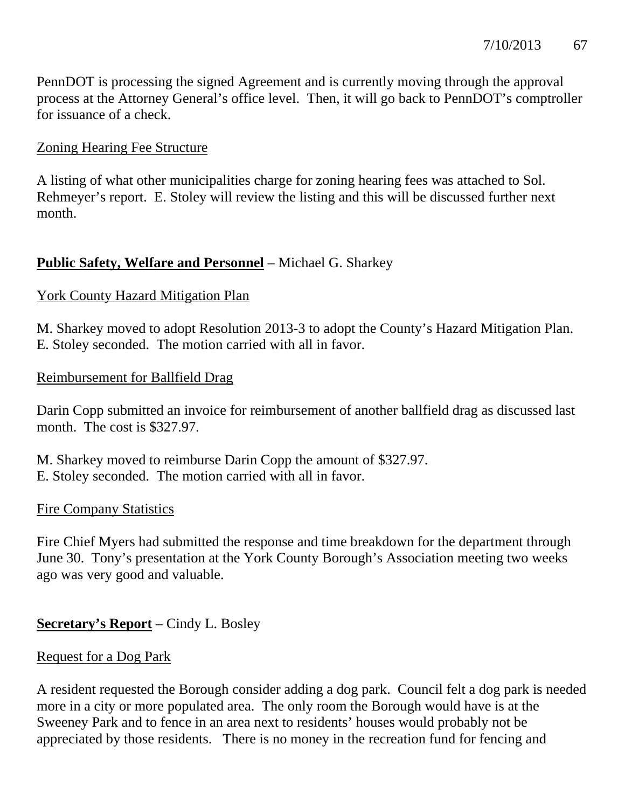PennDOT is processing the signed Agreement and is currently moving through the approval process at the Attorney General's office level. Then, it will go back to PennDOT's comptroller for issuance of a check.

### Zoning Hearing Fee Structure

A listing of what other municipalities charge for zoning hearing fees was attached to Sol. Rehmeyer's report. E. Stoley will review the listing and this will be discussed further next month.

### **Public Safety, Welfare and Personnel** – Michael G. Sharkey

### York County Hazard Mitigation Plan

M. Sharkey moved to adopt Resolution 2013-3 to adopt the County's Hazard Mitigation Plan. E. Stoley seconded. The motion carried with all in favor.

### Reimbursement for Ballfield Drag

Darin Copp submitted an invoice for reimbursement of another ballfield drag as discussed last month. The cost is \$327.97.

M. Sharkey moved to reimburse Darin Copp the amount of \$327.97. E. Stoley seconded. The motion carried with all in favor.

### Fire Company Statistics

Fire Chief Myers had submitted the response and time breakdown for the department through June 30. Tony's presentation at the York County Borough's Association meeting two weeks ago was very good and valuable.

### **Secretary's Report** – Cindy L. Bosley

### Request for a Dog Park

A resident requested the Borough consider adding a dog park. Council felt a dog park is needed more in a city or more populated area. The only room the Borough would have is at the Sweeney Park and to fence in an area next to residents' houses would probably not be appreciated by those residents. There is no money in the recreation fund for fencing and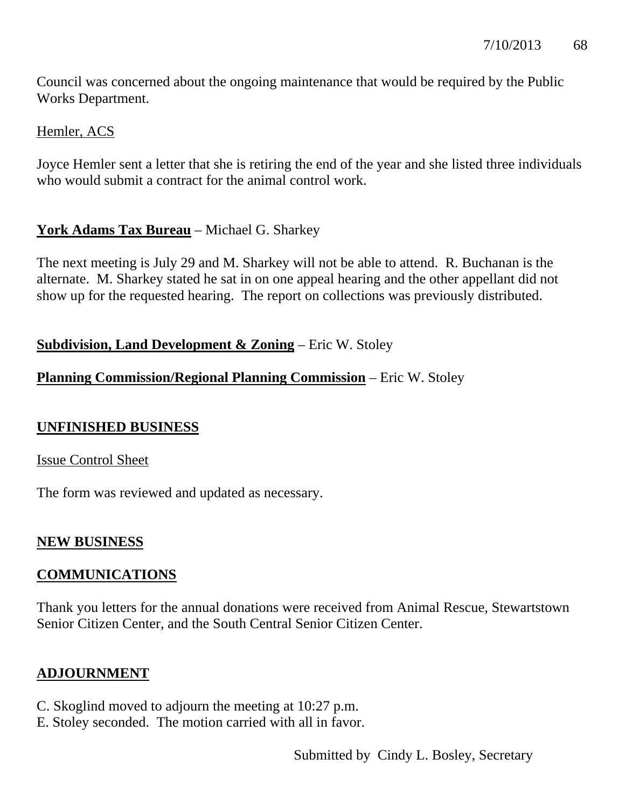Council was concerned about the ongoing maintenance that would be required by the Public Works Department.

### Hemler, ACS

Joyce Hemler sent a letter that she is retiring the end of the year and she listed three individuals who would submit a contract for the animal control work.

# **York Adams Tax Bureau** – Michael G. Sharkey

The next meeting is July 29 and M. Sharkey will not be able to attend. R. Buchanan is the alternate. M. Sharkey stated he sat in on one appeal hearing and the other appellant did not show up for the requested hearing. The report on collections was previously distributed.

### **Subdivision, Land Development & Zoning** – Eric W. Stoley

### **Planning Commission/Regional Planning Commission** – Eric W. Stoley

### **UNFINISHED BUSINESS**

### Issue Control Sheet

The form was reviewed and updated as necessary.

### **NEW BUSINESS**

### **COMMUNICATIONS**

Thank you letters for the annual donations were received from Animal Rescue, Stewartstown Senior Citizen Center, and the South Central Senior Citizen Center.

### **ADJOURNMENT**

- C. Skoglind moved to adjourn the meeting at 10:27 p.m.
- E. Stoley seconded. The motion carried with all in favor.